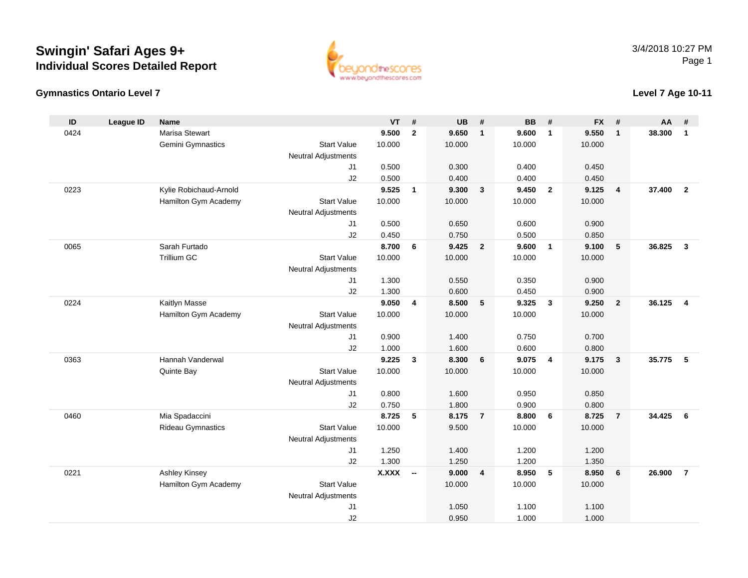



### **Level 7 Age 10-11**

| ID   | <b>League ID</b> | <b>Name</b>              |                                  | <b>VT</b>    | #                        | <b>UB</b> | #                       | <b>BB</b> | #                       | <b>FX</b> | #              | AA     | #                       |
|------|------------------|--------------------------|----------------------------------|--------------|--------------------------|-----------|-------------------------|-----------|-------------------------|-----------|----------------|--------|-------------------------|
| 0424 |                  | Marisa Stewart           |                                  | 9.500        | $\mathbf{2}$             | 9.650     | $\overline{\mathbf{1}}$ | 9.600     | $\overline{1}$          | 9.550     | $\mathbf{1}$   | 38.300 | $\mathbf{1}$            |
|      |                  | Gemini Gymnastics        | <b>Start Value</b>               | 10.000       |                          | 10.000    |                         | 10.000    |                         | 10.000    |                |        |                         |
|      |                  |                          | <b>Neutral Adjustments</b>       |              |                          |           |                         |           |                         |           |                |        |                         |
|      |                  |                          | J1                               | 0.500        |                          | 0.300     |                         | 0.400     |                         | 0.450     |                |        |                         |
|      |                  |                          | J2                               | 0.500        |                          | 0.400     |                         | 0.400     |                         | 0.450     |                |        |                         |
| 0223 |                  | Kylie Robichaud-Arnold   |                                  | 9.525        | $\mathbf{1}$             | 9.300     | $\mathbf{3}$            | 9.450     | $\overline{2}$          | 9.125     | $\overline{4}$ | 37,400 | $\overline{2}$          |
|      |                  | Hamilton Gym Academy     | <b>Start Value</b>               | 10.000       |                          | 10.000    |                         | 10.000    |                         | 10.000    |                |        |                         |
|      |                  |                          | <b>Neutral Adjustments</b>       |              |                          |           |                         |           |                         |           |                |        |                         |
|      |                  |                          | J1                               | 0.500        |                          | 0.650     |                         | 0.600     |                         | 0.900     |                |        |                         |
|      |                  |                          | J2                               | 0.450        |                          | 0.750     |                         | 0.500     |                         | 0.850     |                |        |                         |
| 0065 |                  | Sarah Furtado            |                                  | 8.700        | 6                        | 9.425     | $\overline{2}$          | 9.600     | $\overline{\mathbf{1}}$ | 9.100     | 5              | 36.825 | $\overline{\mathbf{3}}$ |
|      |                  | Trillium GC              | <b>Start Value</b>               | 10.000       |                          | 10.000    |                         | 10.000    |                         | 10.000    |                |        |                         |
|      |                  |                          | <b>Neutral Adjustments</b><br>J1 | 1.300        |                          | 0.550     |                         | 0.350     |                         | 0.900     |                |        |                         |
|      |                  |                          | J2                               | 1.300        |                          | 0.600     |                         | 0.450     |                         | 0.900     |                |        |                         |
| 0224 |                  | Kaitlyn Masse            |                                  | 9.050        | $\overline{4}$           | 8.500     | 5                       | 9.325     | $\overline{3}$          | 9.250     | $\overline{2}$ | 36.125 | $\overline{\mathbf{4}}$ |
|      |                  | Hamilton Gym Academy     | <b>Start Value</b>               | 10.000       |                          | 10.000    |                         | 10.000    |                         | 10.000    |                |        |                         |
|      |                  |                          | <b>Neutral Adjustments</b>       |              |                          |           |                         |           |                         |           |                |        |                         |
|      |                  |                          | J1                               | 0.900        |                          | 1.400     |                         | 0.750     |                         | 0.700     |                |        |                         |
|      |                  |                          | J2                               | 1.000        |                          | 1.600     |                         | 0.600     |                         | 0.800     |                |        |                         |
| 0363 |                  | Hannah Vanderwal         |                                  | 9.225        | $\mathbf{3}$             | 8.300     | 6                       | 9.075     | $\overline{4}$          | 9.175     | $\mathbf{3}$   | 35.775 | 5                       |
|      |                  | Quinte Bay               | <b>Start Value</b>               | 10.000       |                          | 10.000    |                         | 10.000    |                         | 10.000    |                |        |                         |
|      |                  |                          | <b>Neutral Adjustments</b>       |              |                          |           |                         |           |                         |           |                |        |                         |
|      |                  |                          | J1                               | 0.800        |                          | 1.600     |                         | 0.950     |                         | 0.850     |                |        |                         |
|      |                  |                          | J2                               | 0.750        |                          | 1.800     |                         | 0.900     |                         | 0.800     |                |        |                         |
| 0460 |                  | Mia Spadaccini           |                                  | 8.725        | 5                        | 8.175     | $\overline{7}$          | 8.800     | 6                       | 8.725     | $\overline{7}$ | 34.425 | 6                       |
|      |                  | <b>Rideau Gymnastics</b> | <b>Start Value</b>               | 10.000       |                          | 9.500     |                         | 10.000    |                         | 10.000    |                |        |                         |
|      |                  |                          | <b>Neutral Adjustments</b>       |              |                          |           |                         |           |                         |           |                |        |                         |
|      |                  |                          | J1                               | 1.250        |                          | 1.400     |                         | 1.200     |                         | 1.200     |                |        |                         |
|      |                  |                          | J2                               | 1.300        |                          | 1.250     |                         | 1.200     |                         | 1.350     |                |        |                         |
| 0221 |                  | <b>Ashley Kinsey</b>     |                                  | <b>X.XXX</b> | $\overline{\phantom{a}}$ | 9.000     | $\overline{4}$          | 8.950     | 5                       | 8.950     | 6              | 26.900 | $\overline{7}$          |
|      |                  | Hamilton Gym Academy     | <b>Start Value</b>               |              |                          | 10.000    |                         | 10.000    |                         | 10.000    |                |        |                         |
|      |                  |                          | <b>Neutral Adjustments</b>       |              |                          |           |                         |           |                         |           |                |        |                         |
|      |                  |                          | J1                               |              |                          | 1.050     |                         | 1.100     |                         | 1.100     |                |        |                         |
|      |                  |                          | J2                               |              |                          | 0.950     |                         | 1.000     |                         | 1.000     |                |        |                         |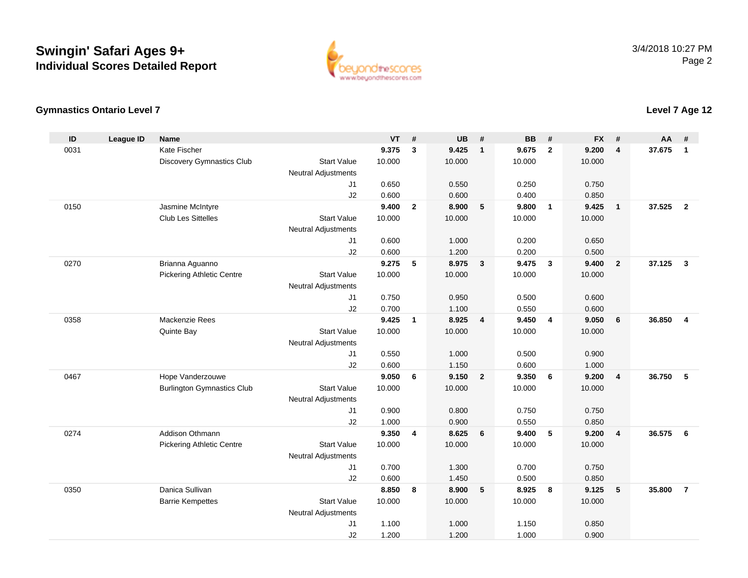

#### **Gymnastics Ontario Level 7**

#### **ID League ID Name VT # UB # BB # FX # AA #** 0031 Kate Fischer **9.375 <sup>3</sup> 9.425 <sup>1</sup> 9.675 <sup>2</sup> 9.200 <sup>4</sup> 37.675 <sup>1</sup>** Discovery Gymnastics Club Start Value 10.000 10.000 10.000 10.000 Neutral Adjustments J1 0.650 0.550 0.250 0.750 J2 0.600 0.600 0.400 0.850 0150 Jasmine McIntyre **9.400 <sup>2</sup> 8.900 <sup>5</sup> 9.800 <sup>1</sup> 9.425 <sup>1</sup> 37.525 <sup>2</sup>** Club Les Sittelles Start Valuee 10.000 10.000 10.000 10.000 Neutral Adjustments J1 0.600 1.000 0.200 0.650 J2 0.600 1.200 0.200 0.500 0270 Brianna Aguanno **9.275 <sup>5</sup> 8.975 <sup>3</sup> 9.475 <sup>3</sup> 9.400 <sup>2</sup> 37.125 <sup>3</sup>** Pickering Athletic Centre Start Value 10.000 10.000 10.000 10.000 Neutral Adjustments J1 0.750 0.950 0.500 0.600 J2 0.700 1.100 0.550 0.600 0358 Mackenzie Rees **9.425 <sup>1</sup> 8.925 <sup>4</sup> 9.450 <sup>4</sup> 9.050 <sup>6</sup> 36.850 <sup>4</sup>** Quinte Bay Start Valuee 10.000 10.000 10.000 10.000 Neutral Adjustments J1 0.550 1.000 0.500 0.900 J2 0.600 1.150 0.600 1.000 0467 Hope Vanderzouwe **9.050 <sup>6</sup> 9.150 <sup>2</sup> 9.350 <sup>6</sup> 9.200 <sup>4</sup> 36.750 <sup>5</sup>** Burlington Gymnastics Clubb 3tart Value 10.000 10.000 10.000 10.000 10.000 Neutral Adjustments J1 0.900 0.800 0.750 0.750 J2 1.000 0.900 0.550 0.850 0274 Addison Othmann **9.350 <sup>4</sup> 8.625 <sup>6</sup> 9.400 <sup>5</sup> 9.200 <sup>4</sup> 36.575 <sup>6</sup>** Pickering Athletic Centre Start Value 10.000 10.000 10.000 10.000 Neutral Adjustments J1 0.700 1.300 0.700 0.750 J2 0.600 1.450 0.500 0.850 0350 Danica Sullivan **8.850 <sup>8</sup> 8.900 <sup>5</sup> 8.925 <sup>8</sup> 9.125 <sup>5</sup> 35.800 <sup>7</sup>** Barrie Kempettes Start Valuee 10.000 10.000 10.000 10.000 Neutral Adjustments J1 1.100 1.000 1.150 0.850 J21.200 1.200 1.000 0.900

### **Level 7 Age 12**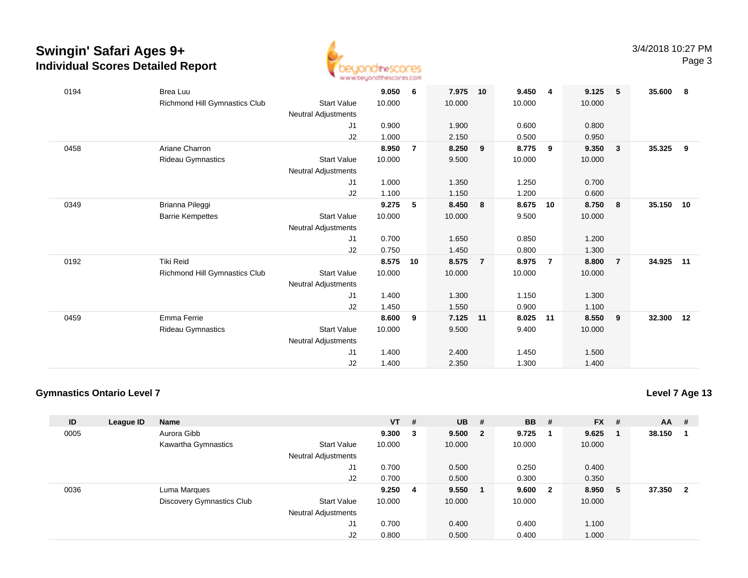

| 0194 | Brea Luu                      |                     | 9.050  | 6              | 7.975  | 10             | 9.450  | $\overline{4}$ | 9.125  | 5                       | 35.600    | - 8 |
|------|-------------------------------|---------------------|--------|----------------|--------|----------------|--------|----------------|--------|-------------------------|-----------|-----|
|      | Richmond Hill Gymnastics Club | <b>Start Value</b>  | 10.000 |                | 10.000 |                | 10.000 |                | 10.000 |                         |           |     |
|      |                               | Neutral Adjustments |        |                |        |                |        |                |        |                         |           |     |
|      |                               | J1                  | 0.900  |                | 1.900  |                | 0.600  |                | 0.800  |                         |           |     |
|      |                               | J2                  | 1.000  |                | 2.150  |                | 0.500  |                | 0.950  |                         |           |     |
| 0458 | Ariane Charron                |                     | 8.950  | $\overline{7}$ | 8.250  | 9              | 8.775  | 9              | 9.350  | $\overline{\mathbf{3}}$ | 35.325    | - 9 |
|      | Rideau Gymnastics             | <b>Start Value</b>  | 10.000 |                | 9.500  |                | 10.000 |                | 10.000 |                         |           |     |
|      |                               | Neutral Adjustments |        |                |        |                |        |                |        |                         |           |     |
|      |                               | J1                  | 1.000  |                | 1.350  |                | 1.250  |                | 0.700  |                         |           |     |
|      |                               | J2                  | 1.100  |                | 1.150  |                | 1.200  |                | 0.600  |                         |           |     |
| 0349 | Brianna Pileggi               |                     | 9.275  | 5              | 8.450  | 8              | 8.675  | 10             | 8.750  | $\overline{\mathbf{8}}$ | 35.150    | 10  |
|      | <b>Barrie Kempettes</b>       | <b>Start Value</b>  | 10.000 |                | 10.000 |                | 9.500  |                | 10.000 |                         |           |     |
|      |                               | Neutral Adjustments |        |                |        |                |        |                |        |                         |           |     |
|      |                               | J1                  | 0.700  |                | 1.650  |                | 0.850  |                | 1.200  |                         |           |     |
|      |                               | J2                  | 0.750  |                | 1.450  |                | 0.800  |                | 1.300  |                         |           |     |
| 0192 | <b>Tiki Reid</b>              |                     | 8.575  | 10             | 8.575  | $\overline{7}$ | 8.975  | $\overline{7}$ | 8.800  | $\overline{7}$          | 34.925    | 11  |
|      | Richmond Hill Gymnastics Club | <b>Start Value</b>  | 10.000 |                | 10.000 |                | 10.000 |                | 10.000 |                         |           |     |
|      |                               | Neutral Adjustments |        |                |        |                |        |                |        |                         |           |     |
|      |                               | J1                  | 1.400  |                | 1.300  |                | 1.150  |                | 1.300  |                         |           |     |
|      |                               | J <sub>2</sub>      | 1.450  |                | 1.550  |                | 0.900  |                | 1.100  |                         |           |     |
| 0459 | Emma Ferrie                   |                     | 8.600  | 9              | 7.125  | 11             | 8.025  | 11             | 8.550  | - 9                     | 32.300 12 |     |
|      | Rideau Gymnastics             | <b>Start Value</b>  | 10.000 |                | 9.500  |                | 9.400  |                | 10.000 |                         |           |     |
|      |                               | Neutral Adjustments |        |                |        |                |        |                |        |                         |           |     |
|      |                               | J1                  | 1.400  |                | 2.400  |                | 1.450  |                | 1.500  |                         |           |     |
|      |                               | J2                  | 1.400  |                | 2.350  |                | 1.300  |                | 1.400  |                         |           |     |

### **Gymnastics Ontario Level 7**

| ID   | League ID | <b>Name</b>               |                            | $VT$ # |    | <b>UB</b> | #                       | <b>BB</b> | #            | $FX$ # |    | <b>AA</b> | - #                     |
|------|-----------|---------------------------|----------------------------|--------|----|-----------|-------------------------|-----------|--------------|--------|----|-----------|-------------------------|
| 0005 |           | Aurora Gibb               |                            | 9.300  | 3  | 9.500     | $\overline{\mathbf{2}}$ | 9.725     |              | 9.625  |    | 38.150    |                         |
|      |           | Kawartha Gymnastics       | <b>Start Value</b>         | 10.000 |    | 10.000    |                         | 10.000    |              | 10.000 |    |           |                         |
|      |           |                           | <b>Neutral Adjustments</b> |        |    |           |                         |           |              |        |    |           |                         |
|      |           |                           | J1                         | 0.700  |    | 0.500     |                         | 0.250     |              | 0.400  |    |           |                         |
|      |           |                           | J2                         | 0.700  |    | 0.500     |                         | 0.300     |              | 0.350  |    |           |                         |
| 0036 |           | Luma Marques              |                            | 9.250  | -4 | 9.550     |                         | 9.600     | $\mathbf{2}$ | 8.950  | -5 | 37.350    | $\overline{\mathbf{2}}$ |
|      |           | Discovery Gymnastics Club | <b>Start Value</b>         | 10.000 |    | 10.000    |                         | 10.000    |              | 10.000 |    |           |                         |
|      |           |                           | <b>Neutral Adjustments</b> |        |    |           |                         |           |              |        |    |           |                         |
|      |           |                           | J1                         | 0.700  |    | 0.400     |                         | 0.400     |              | 1.100  |    |           |                         |
|      |           |                           | J <sub>2</sub>             | 0.800  |    | 0.500     |                         | 0.400     |              | 1.000  |    |           |                         |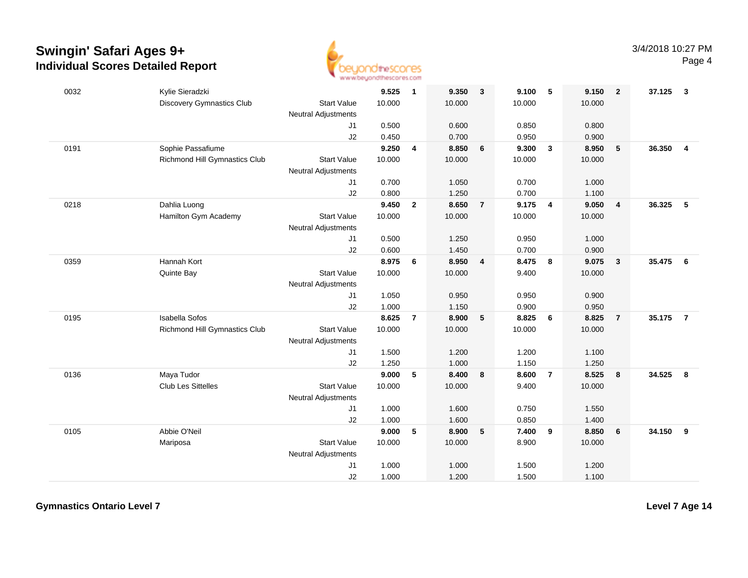

| 0032 | Kylie Sieradzki               |                            | 9.525  | $\overline{1}$ | 9.350  | $\overline{3}$ | 9.100  | - 5            | 9.150  | $\overline{2}$          | 37.125 | $\mathbf{3}$            |
|------|-------------------------------|----------------------------|--------|----------------|--------|----------------|--------|----------------|--------|-------------------------|--------|-------------------------|
|      | Discovery Gymnastics Club     | <b>Start Value</b>         | 10.000 |                | 10.000 |                | 10.000 |                | 10.000 |                         |        |                         |
|      |                               | <b>Neutral Adjustments</b> |        |                |        |                |        |                |        |                         |        |                         |
|      |                               | J1                         | 0.500  |                | 0.600  |                | 0.850  |                | 0.800  |                         |        |                         |
|      |                               | J2                         | 0.450  |                | 0.700  |                | 0.950  |                | 0.900  |                         |        |                         |
| 0191 | Sophie Passafiume             |                            | 9.250  | 4              | 8.850  | 6              | 9.300  | $\mathbf{3}$   | 8.950  | $5\phantom{.0}$         | 36.350 | $\overline{\mathbf{4}}$ |
|      | Richmond Hill Gymnastics Club | <b>Start Value</b>         | 10.000 |                | 10.000 |                | 10.000 |                | 10.000 |                         |        |                         |
|      |                               | <b>Neutral Adjustments</b> |        |                |        |                |        |                |        |                         |        |                         |
|      |                               | J1                         | 0.700  |                | 1.050  |                | 0.700  |                | 1.000  |                         |        |                         |
|      |                               | J2                         | 0.800  |                | 1.250  |                | 0.700  |                | 1.100  |                         |        |                         |
| 0218 | Dahlia Luong                  |                            | 9.450  | $\overline{2}$ | 8.650  | $\overline{7}$ | 9.175  | $\overline{4}$ | 9.050  | $\overline{\mathbf{4}}$ | 36.325 | $5\phantom{.0}$         |
|      | Hamilton Gym Academy          | <b>Start Value</b>         | 10.000 |                | 10.000 |                | 10.000 |                | 10.000 |                         |        |                         |
|      |                               | <b>Neutral Adjustments</b> |        |                |        |                |        |                |        |                         |        |                         |
|      |                               | J1                         | 0.500  |                | 1.250  |                | 0.950  |                | 1.000  |                         |        |                         |
|      |                               | J2                         | 0.600  |                | 1.450  |                | 0.700  |                | 0.900  |                         |        |                         |
| 0359 | Hannah Kort                   |                            | 8.975  | 6              | 8.950  | $\overline{4}$ | 8.475  | 8              | 9.075  | $\mathbf{3}$            | 35.475 | - 6                     |
|      | Quinte Bay                    | <b>Start Value</b>         | 10.000 |                | 10.000 |                | 9.400  |                | 10.000 |                         |        |                         |
|      |                               | <b>Neutral Adjustments</b> |        |                |        |                |        |                |        |                         |        |                         |
|      |                               | J1                         | 1.050  |                | 0.950  |                | 0.950  |                | 0.900  |                         |        |                         |
|      |                               | J2                         | 1.000  |                | 1.150  |                | 0.900  |                | 0.950  |                         |        |                         |
| 0195 | <b>Isabella Sofos</b>         |                            | 8.625  | $\overline{7}$ | 8.900  | 5              | 8.825  | 6              | 8.825  | $\overline{7}$          | 35.175 | $\overline{7}$          |
|      | Richmond Hill Gymnastics Club | <b>Start Value</b>         | 10.000 |                | 10.000 |                | 10.000 |                | 10.000 |                         |        |                         |
|      |                               | <b>Neutral Adjustments</b> |        |                |        |                |        |                |        |                         |        |                         |
|      |                               | J1                         | 1.500  |                | 1.200  |                | 1.200  |                | 1.100  |                         |        |                         |
|      |                               | J2                         | 1.250  |                | 1.000  |                | 1.150  |                | 1.250  |                         |        |                         |
| 0136 | Maya Tudor                    |                            | 9.000  | 5              | 8.400  | 8              | 8.600  | $\overline{7}$ | 8.525  | 8                       | 34.525 | 8                       |
|      | Club Les Sittelles            | <b>Start Value</b>         | 10.000 |                | 10.000 |                | 9.400  |                | 10.000 |                         |        |                         |
|      |                               | Neutral Adjustments        |        |                |        |                |        |                |        |                         |        |                         |
|      |                               | J1                         | 1.000  |                | 1.600  |                | 0.750  |                | 1.550  |                         |        |                         |
|      |                               | J2                         | 1.000  |                | 1.600  |                | 0.850  |                | 1.400  |                         |        |                         |
| 0105 | Abbie O'Neil                  |                            | 9.000  | 5              | 8.900  | 5              | 7.400  | 9              | 8.850  | 6                       | 34.150 | 9                       |
|      | Mariposa                      | <b>Start Value</b>         | 10.000 |                | 10.000 |                | 8.900  |                | 10.000 |                         |        |                         |
|      |                               | <b>Neutral Adjustments</b> |        |                |        |                |        |                |        |                         |        |                         |
|      |                               | J1                         | 1.000  |                | 1.000  |                | 1.500  |                | 1.200  |                         |        |                         |
|      |                               | J2                         | 1.000  |                | 1.200  |                | 1.500  |                | 1.100  |                         |        |                         |

**Gymnastics Ontario Level 7**

**Level 7 Age 14**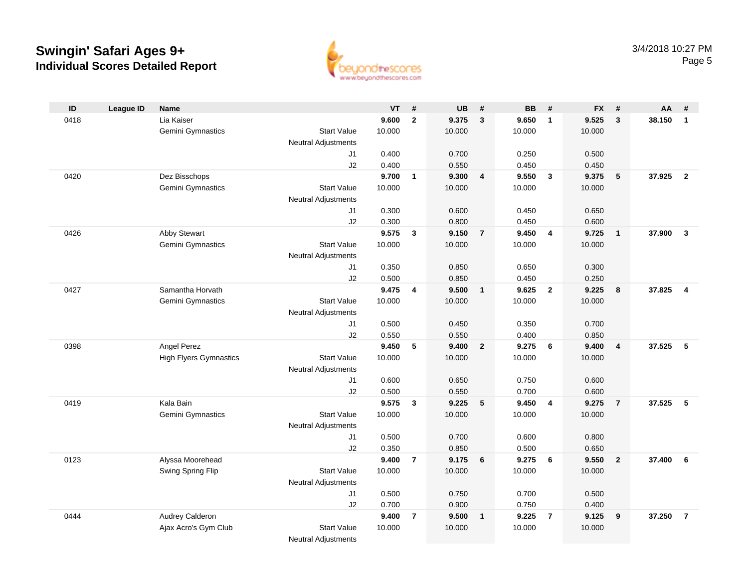

| ID   | <b>League ID</b> | <b>Name</b>                   |                            | <b>VT</b> | #              | <b>UB</b> | #              | <b>BB</b> | #              | <b>FX</b> | #                       | AA     | #                       |
|------|------------------|-------------------------------|----------------------------|-----------|----------------|-----------|----------------|-----------|----------------|-----------|-------------------------|--------|-------------------------|
| 0418 |                  | Lia Kaiser                    |                            | 9.600     | $\mathbf{2}$   | 9.375     | $\mathbf{3}$   | 9.650     | $\mathbf{1}$   | 9.525     | $\mathbf{3}$            | 38.150 | $\mathbf{1}$            |
|      |                  | Gemini Gymnastics             | <b>Start Value</b>         | 10.000    |                | 10.000    |                | 10.000    |                | 10.000    |                         |        |                         |
|      |                  |                               | <b>Neutral Adjustments</b> |           |                |           |                |           |                |           |                         |        |                         |
|      |                  |                               | J1                         | 0.400     |                | 0.700     |                | 0.250     |                | 0.500     |                         |        |                         |
|      |                  |                               | J2                         | 0.400     |                | 0.550     |                | 0.450     |                | 0.450     |                         |        |                         |
| 0420 |                  | Dez Bisschops                 |                            | 9.700     | $\mathbf{1}$   | 9.300     | $\overline{4}$ | 9.550     | $\mathbf{3}$   | 9.375     | 5                       | 37.925 | $\overline{2}$          |
|      |                  | Gemini Gymnastics             | <b>Start Value</b>         | 10.000    |                | 10.000    |                | 10.000    |                | 10.000    |                         |        |                         |
|      |                  |                               | <b>Neutral Adjustments</b> |           |                |           |                |           |                |           |                         |        |                         |
|      |                  |                               | J1                         | 0.300     |                | 0.600     |                | 0.450     |                | 0.650     |                         |        |                         |
|      |                  |                               | J2                         | 0.300     |                | 0.800     |                | 0.450     |                | 0.600     |                         |        |                         |
| 0426 |                  | Abby Stewart                  |                            | 9.575     | $\mathbf{3}$   | 9.150     | $\overline{7}$ | 9.450     | 4              | 9.725     | $\overline{\mathbf{1}}$ | 37.900 | $\overline{\mathbf{3}}$ |
|      |                  | Gemini Gymnastics             | <b>Start Value</b>         | 10.000    |                | 10.000    |                | 10.000    |                | 10.000    |                         |        |                         |
|      |                  |                               | <b>Neutral Adjustments</b> |           |                |           |                |           |                |           |                         |        |                         |
|      |                  |                               | J1                         | 0.350     |                | 0.850     |                | 0.650     |                | 0.300     |                         |        |                         |
|      |                  |                               | J2                         | 0.500     |                | 0.850     |                | 0.450     |                | 0.250     |                         |        |                         |
| 0427 |                  | Samantha Horvath              |                            | 9.475     | 4              | 9.500     | $\mathbf{1}$   | 9.625     | $\overline{2}$ | 9.225     | 8                       | 37.825 | $\overline{4}$          |
|      |                  | Gemini Gymnastics             | <b>Start Value</b>         | 10.000    |                | 10.000    |                | 10.000    |                | 10.000    |                         |        |                         |
|      |                  |                               | <b>Neutral Adjustments</b> |           |                |           |                |           |                |           |                         |        |                         |
|      |                  |                               | J1                         | 0.500     |                | 0.450     |                | 0.350     |                | 0.700     |                         |        |                         |
|      |                  |                               | J2                         | 0.550     |                | 0.550     |                | 0.400     |                | 0.850     |                         |        |                         |
| 0398 |                  | Angel Perez                   |                            | 9.450     | 5              | 9.400     | $\mathbf{2}$   | 9.275     | 6              | 9.400     | $\overline{\mathbf{4}}$ | 37.525 | -5                      |
|      |                  | <b>High Flyers Gymnastics</b> | <b>Start Value</b>         | 10.000    |                | 10.000    |                | 10.000    |                | 10.000    |                         |        |                         |
|      |                  |                               | Neutral Adjustments        |           |                |           |                |           |                |           |                         |        |                         |
|      |                  |                               | J1                         | 0.600     |                | 0.650     |                | 0.750     |                | 0.600     |                         |        |                         |
|      |                  |                               | J2                         | 0.500     |                | 0.550     |                | 0.700     |                | 0.600     |                         |        |                         |
| 0419 |                  | Kala Bain                     |                            | 9.575     | $\mathbf{3}$   | 9.225     | 5              | 9.450     | $\overline{4}$ | 9.275     | $\overline{7}$          | 37.525 | -5                      |
|      |                  | Gemini Gymnastics             | <b>Start Value</b>         | 10.000    |                | 10.000    |                | 10.000    |                | 10.000    |                         |        |                         |
|      |                  |                               | Neutral Adjustments        |           |                |           |                |           |                |           |                         |        |                         |
|      |                  |                               | J1                         | 0.500     |                | 0.700     |                | 0.600     |                | 0.800     |                         |        |                         |
|      |                  |                               | J2                         | 0.350     |                | 0.850     |                | 0.500     |                | 0.650     |                         |        |                         |
| 0123 |                  | Alyssa Moorehead              |                            | 9.400     | $\overline{7}$ | 9.175     | 6              | 9.275     | 6              | 9.550     | $\overline{\mathbf{2}}$ | 37.400 | 6                       |
|      |                  | Swing Spring Flip             | <b>Start Value</b>         | 10.000    |                | 10.000    |                | 10.000    |                | 10.000    |                         |        |                         |
|      |                  |                               | <b>Neutral Adjustments</b> |           |                |           |                |           |                |           |                         |        |                         |
|      |                  |                               | J <sub>1</sub>             | 0.500     |                | 0.750     |                | 0.700     |                | 0.500     |                         |        |                         |
|      |                  |                               | J2                         | 0.700     |                | 0.900     |                | 0.750     |                | 0.400     |                         |        |                         |
| 0444 |                  | Audrey Calderon               |                            | 9.400     | $\overline{7}$ | 9.500     | $\mathbf{1}$   | 9.225     | $\overline{7}$ | 9.125     | 9                       | 37.250 | $\overline{7}$          |
|      |                  | Ajax Acro's Gym Club          | <b>Start Value</b>         | 10.000    |                | 10.000    |                | 10.000    |                | 10.000    |                         |        |                         |
|      |                  |                               | <b>Neutral Adjustments</b> |           |                |           |                |           |                |           |                         |        |                         |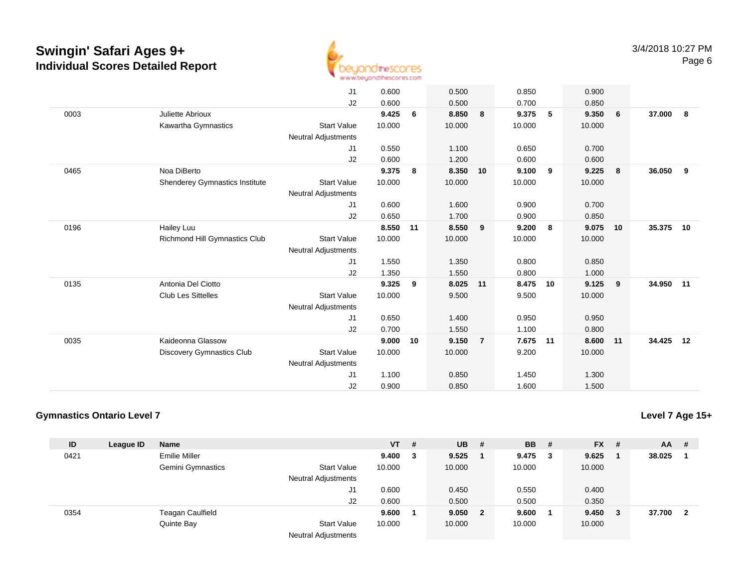

| J <sub>1</sub><br>0.600<br>0.500<br>0.850                                                | 0.900              |              |
|------------------------------------------------------------------------------------------|--------------------|--------------|
|                                                                                          |                    |              |
| J2<br>0.600<br>0.500<br>0.700                                                            | 0.850              |              |
| 9.425<br>6<br>8.850<br>9.375<br>0003<br>Juliette Abrioux<br>8                            | $-5$<br>9.350<br>6 | 37.000<br>8  |
| Kawartha Gymnastics<br><b>Start Value</b><br>10.000<br>10.000<br>10.000                  | 10.000             |              |
| <b>Neutral Adjustments</b>                                                               |                    |              |
| J1<br>0.550<br>1.100<br>0.650                                                            | 0.700              |              |
| J2<br>0.600<br>1.200<br>0.600                                                            | 0.600              |              |
| Noa DiBerto<br>0465<br>9.375<br>8.350<br>9.100<br>8<br>10                                | 9<br>9.225<br>- 8  | 36.050<br>9  |
| Shenderey Gymnastics Institute<br><b>Start Value</b><br>10.000<br>10.000<br>10.000       | 10.000             |              |
| <b>Neutral Adjustments</b>                                                               |                    |              |
| 0.600<br>1.600<br>0.900<br>J1                                                            | 0.700              |              |
| J2<br>0.650<br>1.700<br>0.900                                                            | 0.850              |              |
| 0196<br>8.550<br>8.550<br>Hailey Luu<br>11<br>9<br>9.200                                 | 8<br>9.075<br>10   | 35.375<br>10 |
| <b>Richmond Hill Gymnastics Club</b><br><b>Start Value</b><br>10.000<br>10.000<br>10.000 | 10.000             |              |
| <b>Neutral Adjustments</b>                                                               |                    |              |
| 1.550<br>1.350<br>0.800<br>J1                                                            | 0.850              |              |
| J2<br>1.350<br>1.550<br>0.800                                                            | 1.000              |              |
| Antonia Del Ciotto<br>9.325<br>0135<br>8.025<br>11<br>8.475<br>9                         | 9.125<br>9<br>10   | 34.950<br>11 |
|                                                                                          |                    |              |
| <b>Start Value</b><br><b>Club Les Sittelles</b><br>10.000<br>9.500<br>9.500              | 10.000             |              |
| <b>Neutral Adjustments</b>                                                               |                    |              |
| J1<br>0.650<br>1.400<br>0.950                                                            | 0.950              |              |
| 1.100<br>J2<br>0.700<br>1.550                                                            | 0.800              |              |
| Kaideonna Glassow<br>0035<br>9.150<br>9.000<br>10<br>$\overline{7}$<br>7.675             | 8.600<br>11<br>11  | 34.425<br>12 |
| <b>Start Value</b><br><b>Discovery Gymnastics Club</b><br>10.000<br>10.000<br>9.200      | 10.000             |              |
| <b>Neutral Adjustments</b>                                                               |                    |              |
| J1<br>1.100<br>0.850<br>1.450                                                            | 1.300              |              |
| J2<br>0.900<br>0.850<br>1.600                                                            | 1.500              |              |

### **Gymnastics Ontario Level 7**

| ID   | League ID | Name                 |                            | $VT$ # |   | <b>UB</b> | #              | <b>BB</b> | - # | $FX$ #  | AA     | - #                     |
|------|-----------|----------------------|----------------------------|--------|---|-----------|----------------|-----------|-----|---------|--------|-------------------------|
| 0421 |           | <b>Emilie Miller</b> |                            | 9.400  | 3 | 9.525     |                | $9.475$ 3 |     | 9.625   | 38.025 |                         |
|      |           | Gemini Gymnastics    | <b>Start Value</b>         | 10.000 |   | 10.000    |                | 10.000    |     | 10.000  |        |                         |
|      |           |                      | <b>Neutral Adjustments</b> |        |   |           |                |           |     |         |        |                         |
|      |           |                      | J1                         | 0.600  |   | 0.450     |                | 0.550     |     | 0.400   |        |                         |
|      |           |                      | J2                         | 0.600  |   | 0.500     |                | 0.500     |     | 0.350   |        |                         |
| 0354 |           | Teagan Caulfield     |                            | 9.600  |   | 9.050     | $\overline{2}$ | 9.600     |     | 9.450 3 | 37.700 | $\overline{\mathbf{2}}$ |
|      |           | Quinte Bay           | <b>Start Value</b>         | 10.000 |   | 10.000    |                | 10.000    |     | 10.000  |        |                         |
|      |           |                      | <b>Neutral Adjustments</b> |        |   |           |                |           |     |         |        |                         |

**Level 7 Age 15+**